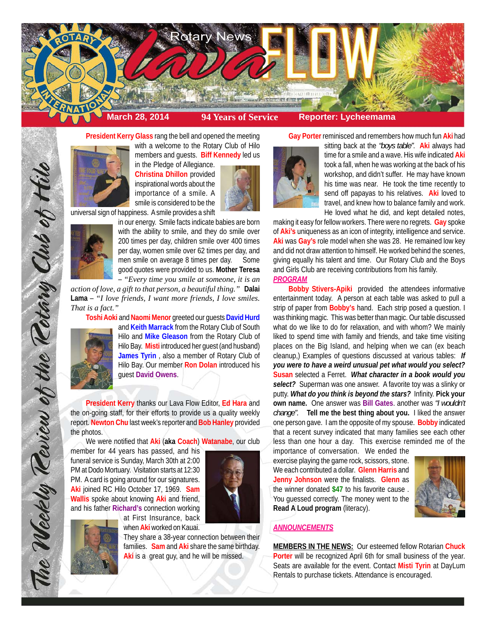

**President Kerry Glass** rang the bell and opened the meeting



in the Pledge of Allegiance. **Christina Dhillon** provided inspirational words about the importance of a smile. A smile is considered to be the

universal sign of happiness. A smile provides a shift



in our energy. Smile facts indicate babies are born with the ability to smile, and they do smile over 200 times per day, children smile over 400 times per day, women smile over 62 times per day, and men smile on average 8 times per day. Some good quotes were provided to us. **Mother Teresa** – *"Every time you smile at someone, it is an*

*action of love, a gift to that person, a beautiful thing."* **Dalai Lama** – *"I love friends, I want more friends, I love smiles. That is a fact."*

**Toshi Aoki** and **Naomi Menor** greeted our guests **David Hurd**



The Weekly Review of the Retary Club of Hill

and **Keith Marrack** from the Rotary Club of South Hilo and **Mike Gleason** from the Rotary Club of Hilo Bay. **Misti** introduced her guest (and husband) **James Tyrin** , also a member of Rotary Club of Hilo Bay. Our member **Ron Dolan** introduced his guest **David Owens**.

**President Kerry** thanks our Lava Flow Editor, **Ed Hara** and the on-going staff, for their efforts to provide us a quality weekly report. **Newton Chu** last week's reporter and **Bob Hanley** provided the photos.

We were notified that **Aki** (**aka Coach**) **Watanabe**, our club

at First Insurance, back when **Aki** worked on Kauai.

member for 44 years has passed, and his funeral service is Sunday, March 30th at 2:00 PM at Dodo Mortuary. Visitation starts at 12:30 PM. A card is going around for our signatures. **Aki** joined RC Hilo October 17, 1969. **Sam Wallis** spoke about knowing **Aki** and friend, and his father **Richard's** connection working





They share a 38-year connection between their families. **Sam** and **Aki** share the same birthday. **Aki** is a great guy, and he will be missed.

**Gay Porter** reminisced and remembers how much fun **Aki** had



sitting back at the *"boys table"*. **Aki** always had time for a smile and a wave. His wife indicated **Aki** took a fall, when he was working at the back of his workshop, and didn't suffer. He may have known his time was near. He took the time recently to send off papayas to his relatives. **Aki** loved to travel, and knew how to balance family and work. He loved what he did, and kept detailed notes,

making it easy for fellow workers. There were no regrets. **Gay** spoke of **Aki's** uniqueness as an icon of integrity, intelligence and service. **Aki** was **Gay's** role model when she was 28. He remained low key and did not draw attention to himself. He worked behind the scenes, giving equally his talent and time. Our Rotary Club and the Boys and Girls Club are receiving contributions from his family. *PROGRAM*

**Bobby Stivers-Apiki** provided the attendees informative entertainment today. A person at each table was asked to pull a strip of paper from **Bobby's** hand. Each strip posed a question. I was thinking magic. This was better than magic. Our table discussed what do we like to do for relaxation, and with whom? We mainly liked to spend time with family and friends, and take time visiting places on the Big Island, and helping when we can (ex beach cleanup,) Examples of questions discussed at various tables: *If you were to have a weird unusual pet what would you select?* **Susan** selected a Ferret. *What character in a book would you select?* Superman was one answer. A favorite toy was a slinky or putty. *What do you think is beyond the stars?* Infinity. **Pick your own name.** One answer was **Bill Gates**. another was *"I wouldn't change".* **Tell me the best thing about you.** I liked the answer one person gave. I am the opposite of my spouse. **Bobby** indicated that a recent survey indicated that many families see each other less than one hour a day. This exercise reminded me of the

importance of conversation. We ended the exercise playing the game rock, scissors, stone. We each contributed a dollar. **Glenn Harris** and **Jenny Johnson** were the finalists. **Glenn** as the winner donated **\$47** to his favorite cause . You guessed correctly. The money went to the **Read A Loud program** (literacy).



# *ANNOUNCEMENTS*

**MEMBERS IN THE NEWS:** Our esteemed fellow Rotarian **Chuck Porter** will be recognized April 6th for small business of the year. Seats are available for the event. Contact **Misti Tyrin** at DayLum Rentals to purchase tickets. Attendance is encouraged.